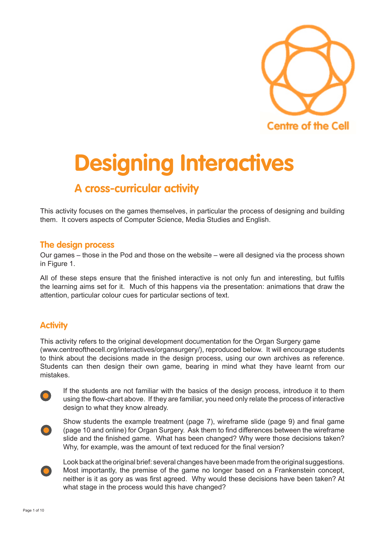

# **Designing Interactives**

# **A cross-curricular activity**

This activity focuses on the games themselves, in particular the process of designing and building them. It covers aspects of Computer Science, Media Studies and English.

## **The design process**

Our games – those in the Pod and those on the website – were all designed via the process shown in Figure 1.

All of these steps ensure that the finished interactive is not only fun and interesting, but fulfils the learning aims set for it. Much of this happens via the presentation: animations that draw the attention, particular colour cues for particular sections of text.

## **Activity**

This activity refers to the original development documentation for the Organ Surgery game (www.centreofthecell.org/interactives/organsurgery/), reproduced below. It will encourage students to think about the decisions made in the design process, using our own archives as reference. Students can then design their own game, bearing in mind what they have learnt from our mistakes.



If the students are not familiar with the basics of the design process, introduce it to them using the flow-chart above. If they are familiar, you need only relate the process of interactive design to what they know already.



Show students the example treatment (page 7), wireframe slide (page 9) and final game (page 10 and online) for Organ Surgery. Ask them to find differences between the wireframe slide and the finished game. What has been changed? Why were those decisions taken? Why, for example, was the amount of text reduced for the final version?



Look back at the original brief: several changes have been made from the original suggestions. Most importantly, the premise of the game no longer based on a Frankenstein concept, neither is it as gory as was first agreed. Why would these decisions have been taken? At what stage in the process would this have changed?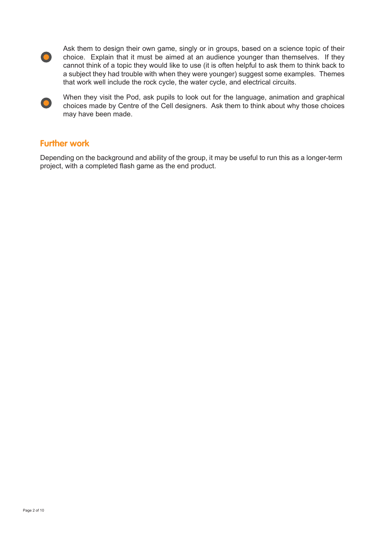

Ask them to design their own game, singly or in groups, based on a science topic of their choice. Explain that it must be aimed at an audience younger than themselves. If they cannot think of a topic they would like to use (it is often helpful to ask them to think back to a subject they had trouble with when they were younger) suggest some examples. Themes that work well include the rock cycle, the water cycle, and electrical circuits.



When they visit the Pod, ask pupils to look out for the language, animation and graphical choices made by Centre of the Cell designers. Ask them to think about why those choices may have been made.

## **Further work**

Depending on the background and ability of the group, it may be useful to run this as a longer-term project, with a completed flash game as the end product.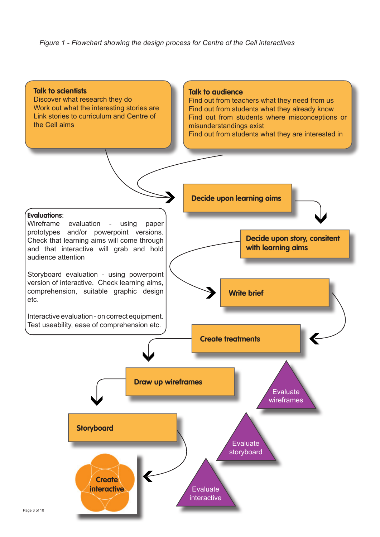*Figure 1 - Flowchart showing the design process for Centre of the Cell interactives*

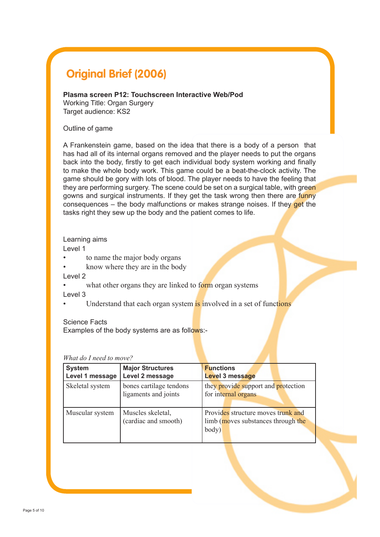# **Original Brief (2006)**

#### **Plasma screen P12: Touchscreen Interactive Web/Pod**

Working Title: Organ Surgery Target audience: KS2

#### Outline of game

A Frankenstein game, based on the idea that there is a body of a person that has had all of its internal organs removed and the player needs to put the organs back into the body, firstly to get each individual body system working and finally to make the whole body work. This game could be a beat-the-clock activity. The game should be gory with lots of blood. The player needs to have the feeling that they are performing surgery. The scene could be set on a surgical table, with green gowns and surgical instruments. If they get the task wrong then there are funny consequences – the body malfunctions or makes strange noises. If they get the tasks right they sew up the body and the patient comes to life.

#### Learning aims

Level 1

- to name the major body organs
- know where they are in the body

Level 2

what other organs they are linked to form organ systems

Level 3

Understand that each organ system is involved in a set of functions

Science Facts

Examples of the body systems are as follows:-

| <i>n nui uo i n</i> ecu <i>io mov</i> e. |                                                 |                                                                                   |
|------------------------------------------|-------------------------------------------------|-----------------------------------------------------------------------------------|
| <b>System</b><br>Level 1 message         | <b>Major Structures</b><br>Level 2 message      | <b>Functions</b><br>Level 3 message                                               |
| Skeletal system                          | bones cartilage tendons<br>ligaments and joints | they provide support and protection<br>for internal organs                        |
| Muscular system                          | Muscles skeletal,<br>(cardiac and smooth)       | Provides structure moves trunk and<br>limb (moves substances through the<br>body) |

#### *What do I need to move?*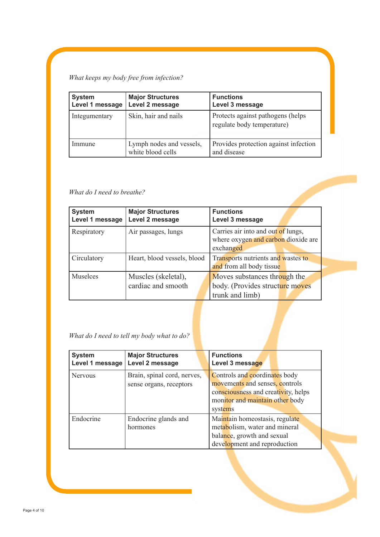## *What keeps my body free from infection?*

| <b>System</b><br>Level 1 message | <b>Major Structures</b><br>Level 2 message    | <b>Functions</b><br>Level 3 message                              |
|----------------------------------|-----------------------------------------------|------------------------------------------------------------------|
| Integumentary                    | Skin, hair and nails                          | Protects against pathogens (helps)<br>regulate body temperature) |
| Immune                           | Lymph nodes and vessels,<br>white blood cells | Provides protection against infection<br>and disease             |

### *What do I need to breathe?*

| <b>System</b><br>Level 1 message | <b>Major Structures</b><br>Level 2 message | <b>Functions</b><br>Level 3 message                                                    |
|----------------------------------|--------------------------------------------|----------------------------------------------------------------------------------------|
| Respiratory                      | Air passages, lungs                        | Carries air into and out of lungs,<br>where oxygen and carbon dioxide are<br>exchanged |
| Circulatory                      | Heart, blood vessels, blood                | Transports nutrients and wastes to<br>and from all body tissue                         |
| Muselces                         | Muscles (skeletal),<br>cardiac and smooth  | Moves substances through the<br>body. (Provides structure moves<br>trunk and limb)     |

## *What do I need to tell my body what to do?*

| <b>System</b><br>Level 1 message | <b>Major Structures</b><br>Level 2 message             | <b>Functions</b><br>Level 3 message                                                                                                                  |
|----------------------------------|--------------------------------------------------------|------------------------------------------------------------------------------------------------------------------------------------------------------|
| <b>Nervous</b>                   | Brain, spinal cord, nerves,<br>sense organs, receptors | Controls and coordinates body<br>movements and senses, controls<br>consciousness and creativity, helps<br>monitor and maintain other body<br>systems |
| Endocrine                        | Endocrine glands and<br>hormones                       | Maintain homeostasis, regulate<br>metabolism, water and mineral<br>balance, growth and sexual<br>development and reproduction                        |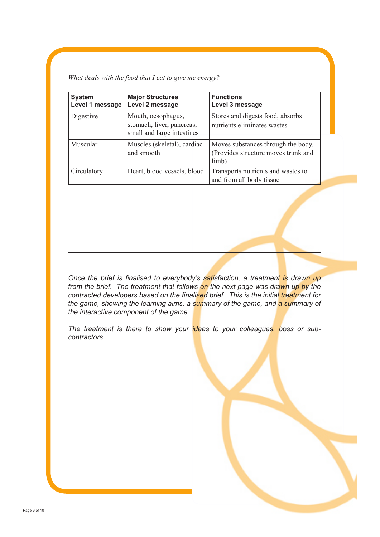*What deals with the food that I eat to give me energy?*

| <b>System</b><br>Level 1 message | <b>Major Structures</b><br>Level 2 message                                    | <b>Functions</b><br>Level 3 message                                                |
|----------------------------------|-------------------------------------------------------------------------------|------------------------------------------------------------------------------------|
| Digestive                        | Mouth, oesophagus,<br>stomach, liver, pancreas,<br>small and large intestines | Stores and digests food, absorbs<br>nutrients eliminates wastes                    |
| Muscular                         | Muscles (skeletal), cardiac<br>and smooth                                     | Moves substances through the body.<br>(Provides structure moves trunk and<br>limb) |
| Circulatory                      | Heart, blood vessels, blood                                                   | Transports nutrients and wastes to<br>and from all body tissue                     |

*Once the brief is finalised to everybody's satisfaction, a treatment is drawn up from the brief. The treatment that follows on the next page was drawn up by the contracted developers based on the finalised brief. This is the initial treatment for the game, showing the learning aims, a summary of the game, and a summary of the interactive component of the game.* 

*The treatment is there to show your ideas to your colleagues, boss or subcontractors.*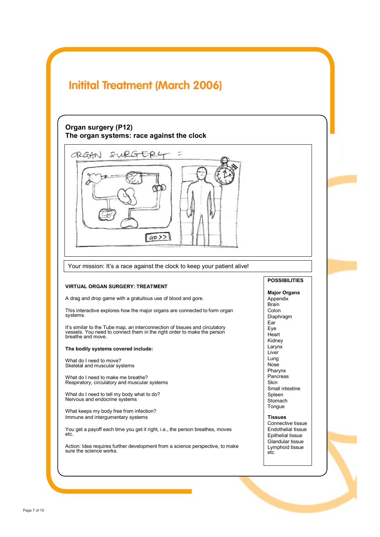# **Initital Treatment (March 2006)**

## **Organ surgery (P12) The organ systems: race against the clock**



Your mission: It's a race against the clock to keep your patient alive!

#### **VIRTUAL ORGAN SURGERY: TREATMENT**

A drag and drop game with a gratuitous use of blood and gore.

This interactive explores how the major organs are connected to form organ systems.

It's similar to the Tube map, an interconnection of tissues and circulatory vessels. You need to connect them in the right order to make the person breathe and move.

#### **The bodily systems covered include:**

What do I need to move? Skeletal and muscular systems

What do I need to make me breathe? Respiratory, circulatory and muscular systems

What do I need to tell my body what to do? Nervous and endocrine systems

What keeps my body free from infection? Immune and intergumentary systems

You get a payoff each time you get it right, i.e., the person breathes, moves etc.

Action: Idea requires further development from a science perspective, to make sure the science works.

#### **POSSIBILITIES**

**Major Organs** Appendix Brain Colon Diaphragm Ear<sup>1</sup> Eye **Heart** Kidney Larynx Liver Lung Nose Pharynx Pancreas Skin Small intestine Spleen **Stomach** Tongue

**Tissues** Connective tissue Endothelial tissue Epithelial tissue Glandular tissue Lymphoid tissue etc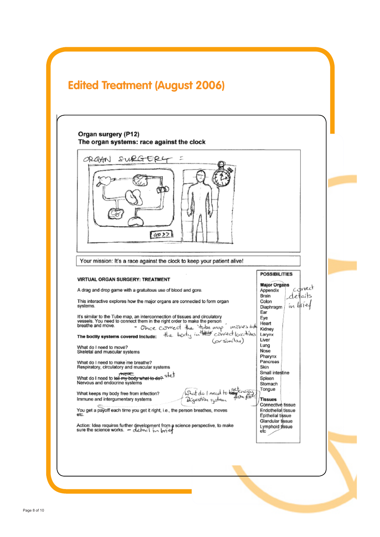

#### Organ surgery (P12) The organ systems: race against the clock SURGER4 ť. ORGAN  $9022$ Your mission: It's a race against the clock to keep your patient alive! **POSSIBILITIES VIRTUAL ORGAN SURGERY: TREATMENT Major Organs** tvech Appendix A drag and drop game with a gratuitous use of blood and gore. details Brain This interactive explores how the major organs are connected to form organ Colon ín Urief systems. Diaphragm Ear It's similar to the Tube map, an interconnection of tissues and circulatory<br>vessels. You need to connect them in the right order to make the person<br>breathe and move.<br> $\frac{1}{2} \frac{1}{2} \frac{1}{2} \frac{1}{2} \frac{1}{2} \frac{1}{2} \frac{1}{2} \frac{1}{$ Eye Heart - Once correct the tube map moves int once come of the two moves into<br>The bodily systems covered include: the body inthest correct locations Kidney Larynx Liver Lung What do I need to move? Nose Skeletal and muscular systems Pharynx What do I need to make me breathe?<br>Respiratory, circulatory and muscular systems Pancreas Skin Small intestine <del>. Yvews</del><br>What do I need to t<del>oll my body what to do? si</del>fed<br>Nervous and endocrine systems Spieen Stomach What do I need to be fenerally Tongue What keeps my body free from infection? Immune and intergumentary systems Dýzestrîn rystem **Tissues** Connective tissue You get a payoff each time you get it right, i.e., the person breathes, moves Endothelial tissue etc Epithelial tissue Glandular tissue Glandular tissue<br>Lymphoid tissue<br>etc Action: Idea requires further development from a science perspective, to make<br>sure the science works.  $-\Delta t + i \sqrt{m^2}$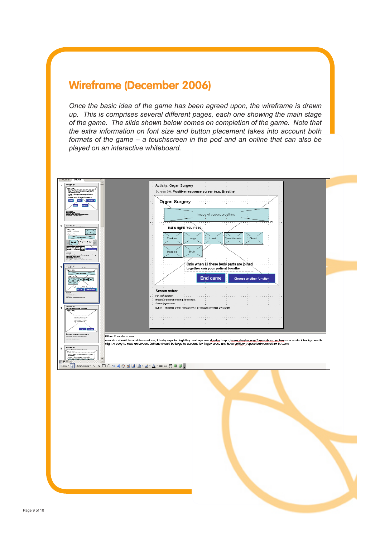## **Wireframe (December 2006)**

*Once the basic idea of the game has been agreed upon, the wireframe is drawn up. This is comprises several different pages, each one showing the main stage of the game. The slide shown below comes on completion of the game. Note that the extra information on font size and button placement takes into account both formats of the game – a touchscreen in the pod and an online that can also be played on an interactive whiteboard.*